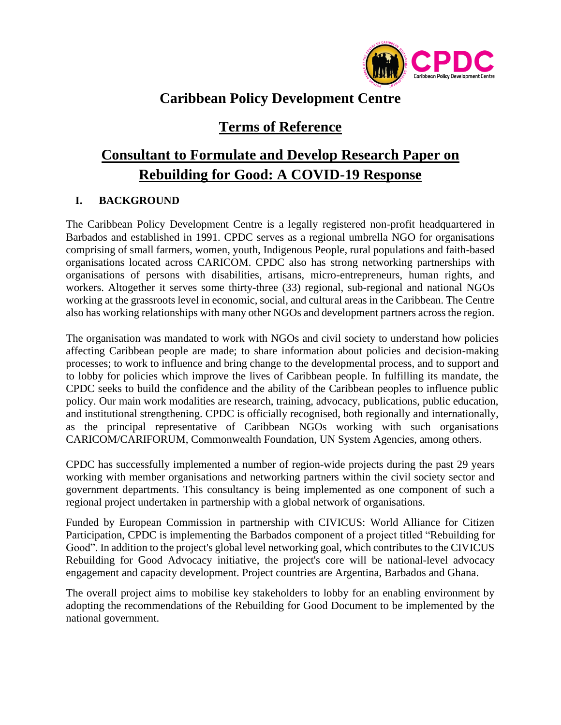

## **Caribbean Policy Development Centre**

## **Terms of Reference**

# **Consultant to Formulate and Develop Research Paper on Rebuilding for Good: A COVID-19 Response**

## **I. BACKGROUND**

The Caribbean Policy Development Centre is a legally registered non-profit headquartered in Barbados and established in 1991. CPDC serves as a regional umbrella NGO for organisations comprising of small farmers, women, youth, Indigenous People, rural populations and faith-based organisations located across CARICOM. CPDC also has strong networking partnerships with organisations of persons with disabilities, artisans, micro-entrepreneurs, human rights, and workers. Altogether it serves some thirty-three (33) regional, sub-regional and national NGOs working at the grassroots level in economic, social, and cultural areas in the Caribbean. The Centre also has working relationships with many other NGOs and development partners across the region.

The organisation was mandated to work with NGOs and civil society to understand how policies affecting Caribbean people are made; to share information about policies and decision-making processes; to work to influence and bring change to the developmental process, and to support and to lobby for policies which improve the lives of Caribbean people. In fulfilling its mandate, the CPDC seeks to build the confidence and the ability of the Caribbean peoples to influence public policy. Our main work modalities are research, training, advocacy, publications, public education, and institutional strengthening. CPDC is officially recognised, both regionally and internationally, as the principal representative of Caribbean NGOs working with such organisations CARICOM/CARIFORUM, Commonwealth Foundation, UN System Agencies, among others.

CPDC has successfully implemented a number of region-wide projects during the past 29 years working with member organisations and networking partners within the civil society sector and government departments. This consultancy is being implemented as one component of such a regional project undertaken in partnership with a global network of organisations.

Funded by European Commission in partnership with CIVICUS: World Alliance for Citizen Participation, CPDC is implementing the Barbados component of a project titled "Rebuilding for Good". In addition to the project's global level networking goal, which contributes to the CIVICUS Rebuilding for Good Advocacy initiative, the project's core will be national-level advocacy engagement and capacity development. Project countries are Argentina, Barbados and Ghana.

The overall project aims to mobilise key stakeholders to lobby for an enabling environment by adopting the recommendations of the Rebuilding for Good Document to be implemented by the national government.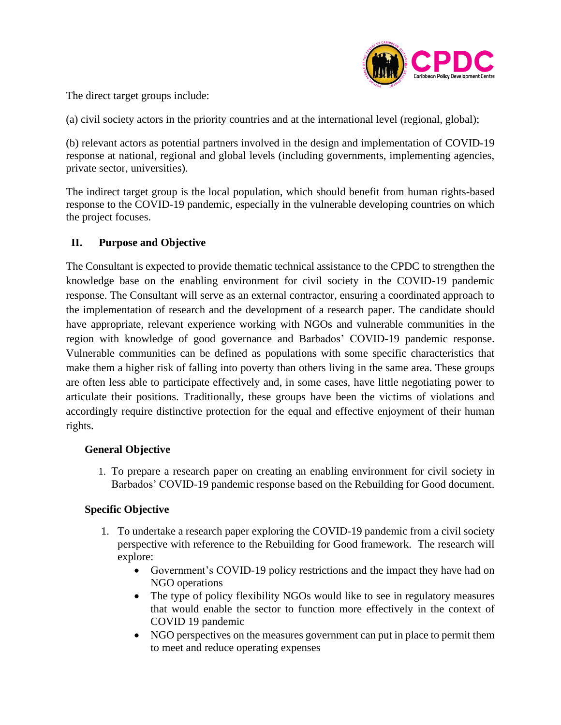

The direct target groups include:

(a) civil society actors in the priority countries and at the international level (regional, global);

(b) relevant actors as potential partners involved in the design and implementation of COVID-19 response at national, regional and global levels (including governments, implementing agencies, private sector, universities).

The indirect target group is the local population, which should benefit from human rights-based response to the COVID-19 pandemic, especially in the vulnerable developing countries on which the project focuses.

## **II. Purpose and Objective**

The Consultant is expected to provide thematic technical assistance to the CPDC to strengthen the knowledge base on the enabling environment for civil society in the COVID-19 pandemic response. The Consultant will serve as an external contractor, ensuring a coordinated approach to the implementation of research and the development of a research paper. The candidate should have appropriate, relevant experience working with NGOs and vulnerable communities in the region with knowledge of good governance and Barbados' COVID-19 pandemic response. Vulnerable communities can be defined as populations with some specific characteristics that make them a higher risk of falling into poverty than others living in the same area. These groups are often less able to participate effectively and, in some cases, have little negotiating power to articulate their positions. Traditionally, these groups have been the victims of violations and accordingly require distinctive protection for the equal and effective enjoyment of their human rights.

## **General Objective**

1. To prepare a research paper on creating an enabling environment for civil society in Barbados' COVID-19 pandemic response based on the Rebuilding for Good document.

## **Specific Objective**

- 1. To undertake a research paper exploring the COVID-19 pandemic from a civil society perspective with reference to the Rebuilding for Good framework. The research will explore:
	- Government's COVID-19 policy restrictions and the impact they have had on NGO operations
	- The type of policy flexibility NGOs would like to see in regulatory measures that would enable the sector to function more effectively in the context of COVID 19 pandemic
	- NGO perspectives on the measures government can put in place to permit them to meet and reduce operating expenses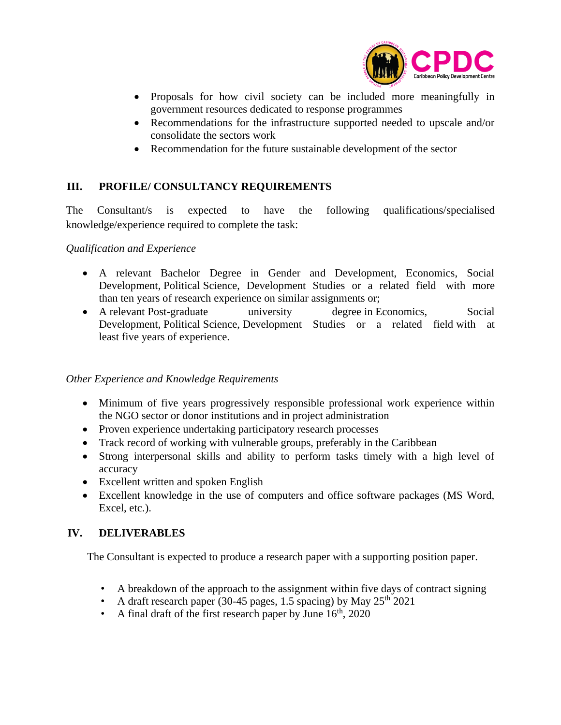

- Proposals for how civil society can be included more meaningfully in government resources dedicated to response programmes
- Recommendations for the infrastructure supported needed to upscale and/or consolidate the sectors work
- Recommendation for the future sustainable development of the sector

## **III. PROFILE/ CONSULTANCY REQUIREMENTS**

The Consultant/s is expected to have the following qualifications/specialised knowledge/experience required to complete the task:

#### *Qualification and Experience*

- A relevant Bachelor Degree in Gender and Development, Economics, Social Development, Political Science, Development Studies or a related field with more than ten years of research experience on similar assignments or;
- A relevant Post-graduate university degree in Economics, Social Development, Political Science, Development Studies or a related field with at least five years of experience.

#### *Other Experience and Knowledge Requirements*

- Minimum of five years progressively responsible professional work experience within the NGO sector or donor institutions and in project administration
- Proven experience undertaking participatory research processes
- Track record of working with vulnerable groups, preferably in the Caribbean
- Strong interpersonal skills and ability to perform tasks timely with a high level of accuracy
- Excellent written and spoken English
- Excellent knowledge in the use of computers and office software packages (MS Word, Excel, etc.).

## **IV. DELIVERABLES**

The Consultant is expected to produce a research paper with a supporting position paper.

- A breakdown of the approach to the assignment within five days of contract signing
- A draft research paper (30-45 pages, 1.5 spacing) by May  $25<sup>th</sup> 2021$
- A final draft of the first research paper by June  $16<sup>th</sup>$ , 2020